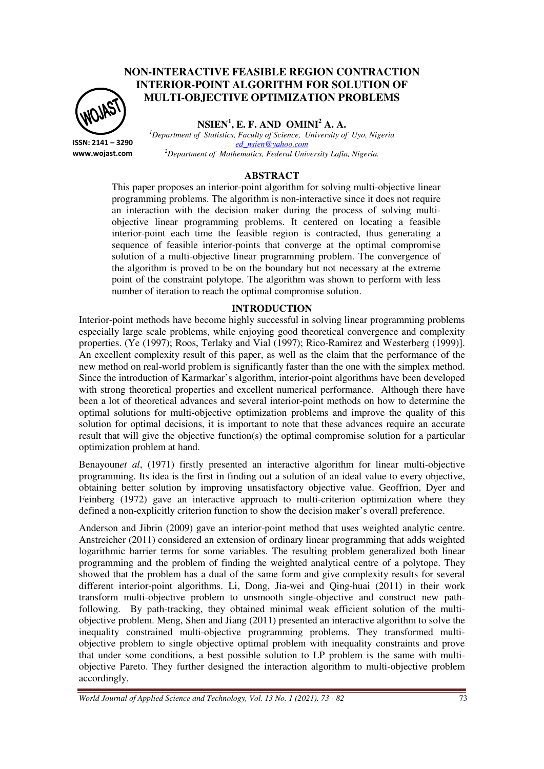# **NON-INTERACTIVE FEASIBLE REGION CONTRACTION INTERIOR-POINT ALGORITHM FOR SOLUTION OF MULTI-OBJECTIVE OPTIMIZATION PROBLEMS**



**NSIEN<sup>1</sup> , E. F. AND OMINI<sup>2</sup> A. A.** 

**ISSN: 2141 – 3290 www.wojast.com** *<sup>1</sup>Department of Statistics, Faculty of Science, University of Uyo, Nigeria ed\_nsien@yahoo.com <sup>2</sup>Department of Mathematics, Federal University Lafia, Nigeria.* 

#### **ABSTRACT**

This paper proposes an interior-point algorithm for solving multi-objective linear programming problems. The algorithm is non-interactive since it does not require an interaction with the decision maker during the process of solving multiobjective linear programming problems. It centered on locating a feasible interior-point each time the feasible region is contracted, thus generating a sequence of feasible interior-points that converge at the optimal compromise solution of a multi-objective linear programming problem. The convergence of the algorithm is proved to be on the boundary but not necessary at the extreme point of the constraint polytope. The algorithm was shown to perform with less number of iteration to reach the optimal compromise solution.

#### **INTRODUCTION**

Interior-point methods have become highly successful in solving linear programming problems especially large scale problems, while enjoying good theoretical convergence and complexity properties. (Ye (1997); Roos, Terlaky and Vial (1997); Rico-Ramirez and Westerberg (1999)]. An excellent complexity result of this paper, as well as the claim that the performance of the new method on real-world problem is significantly faster than the one with the simplex method. Since the introduction of Karmarkar's algorithm, interior-point algorithms have been developed with strong theoretical properties and excellent numerical performance. Although there have been a lot of theoretical advances and several interior-point methods on how to determine the optimal solutions for multi-objective optimization problems and improve the quality of this solution for optimal decisions, it is important to note that these advances require an accurate result that will give the objective function(s) the optimal compromise solution for a particular optimization problem at hand.

Benayoun*et al*, (1971) firstly presented an interactive algorithm for linear multi-objective programming. Its idea is the first in finding out a solution of an ideal value to every objective, obtaining better solution by improving unsatisfactory objective value. Geoffrion, Dyer and Feinberg (1972) gave an interactive approach to multi-criterion optimization where they defined a non-explicitly criterion function to show the decision maker's overall preference.

Anderson and Jibrin (2009) gave an interior-point method that uses weighted analytic centre. Anstreicher (2011) considered an extension of ordinary linear programming that adds weighted logarithmic barrier terms for some variables. The resulting problem generalized both linear programming and the problem of finding the weighted analytical centre of a polytope. They showed that the problem has a dual of the same form and give complexity results for several different interior-point algorithms. Li, Dong, Jia-wei and Qing-huai (2011) in their work transform multi-objective problem to unsmooth single-objective and construct new pathfollowing. By path-tracking, they obtained minimal weak efficient solution of the multiobjective problem. Meng, Shen and Jiang (2011) presented an interactive algorithm to solve the inequality constrained multi-objective programming problems. They transformed multiobjective problem to single objective optimal problem with inequality constraints and prove that under some conditions, a best possible solution to LP problem is the same with multiobjective Pareto. They further designed the interaction algorithm to multi-objective problem accordingly.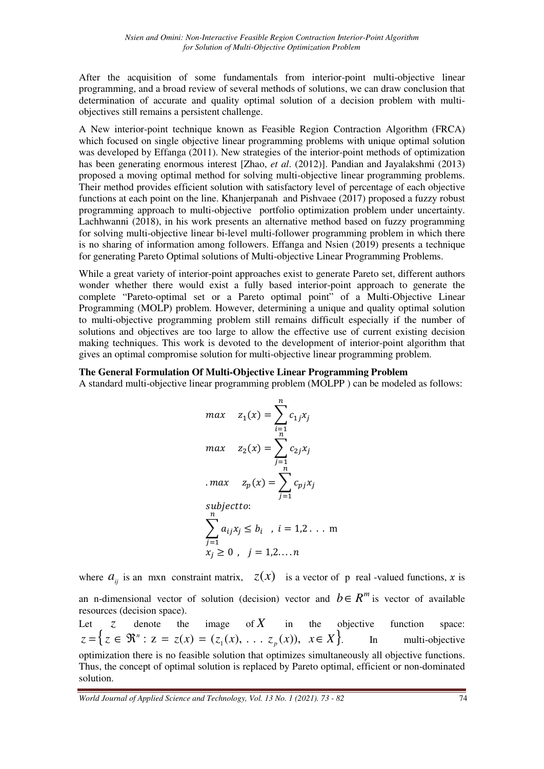After the acquisition of some fundamentals from interior-point multi-objective linear programming, and a broad review of several methods of solutions, we can draw conclusion that determination of accurate and quality optimal solution of a decision problem with multiobjectives still remains a persistent challenge.

A New interior-point technique known as Feasible Region Contraction Algorithm (FRCA) which focused on single objective linear programming problems with unique optimal solution was developed by Effanga (2011). New strategies of the interior-point methods of optimization has been generating enormous interest [Zhao, *et al*. (2012)]. Pandian and Jayalakshmi (2013) proposed a moving optimal method for solving multi-objective linear programming problems. Their method provides efficient solution with satisfactory level of percentage of each objective functions at each point on the line. Khanjerpanah and Pishvaee (2017) proposed a fuzzy robust programming approach to multi-objective portfolio optimization problem under uncertainty. Lachhwanni (2018), in his work presents an alternative method based on fuzzy programming for solving multi-objective linear bi-level multi-follower programming problem in which there is no sharing of information among followers. Effanga and Nsien (2019) presents a technique for generating Pareto Optimal solutions of Multi-objective Linear Programming Problems.

While a great variety of interior-point approaches exist to generate Pareto set, different authors wonder whether there would exist a fully based interior-point approach to generate the complete "Pareto-optimal set or a Pareto optimal point" of a Multi-Objective Linear Programming (MOLP) problem. However, determining a unique and quality optimal solution to multi-objective programming problem still remains difficult especially if the number of solutions and objectives are too large to allow the effective use of current existing decision making techniques. This work is devoted to the development of interior-point algorithm that gives an optimal compromise solution for multi-objective linear programming problem.

#### **The General Formulation Of Multi-Objective Linear Programming Problem**

A standard multi-objective linear programming problem (MOLPP ) can be modeled as follows:

$$
max \quad z_1(x) = \sum_{i=1}^{n} c_{1j}x_j
$$
  
\n
$$
max \quad z_2(x) = \sum_{j=1}^{n} c_{2j}x_j
$$
  
\n
$$
max \quad z_p(x) = \sum_{j=1}^{n} c_{pj}x_j
$$
  
\n
$$
subject to:
$$
  
\n
$$
\sum_{j=1}^{n} a_{ij}x_j \le b_i \quad, i = 1, 2 \dots m
$$
  
\n
$$
x_j \ge 0 \quad, j = 1, 2, \dots n
$$

where  $a_{ij}$  is an mxn constraint matrix,  $z(x)$  is a vector of p real -valued functions, x is an n-dimensional vector of solution (decision) vector and  $b \in R^m$  is vector of available resources (decision space).

Let  $\zeta$  denote the image of  $X$  in the objective function space:  $z = \{ z \in \mathbb{R}^n : z = z(x) = (z_1(x), \dots z_p(x)), x \in X \}.$  In multi-objective optimization there is no feasible solution that optimizes simultaneously all objective functions. Thus, the concept of optimal solution is replaced by Pareto optimal, efficient or non-dominated solution.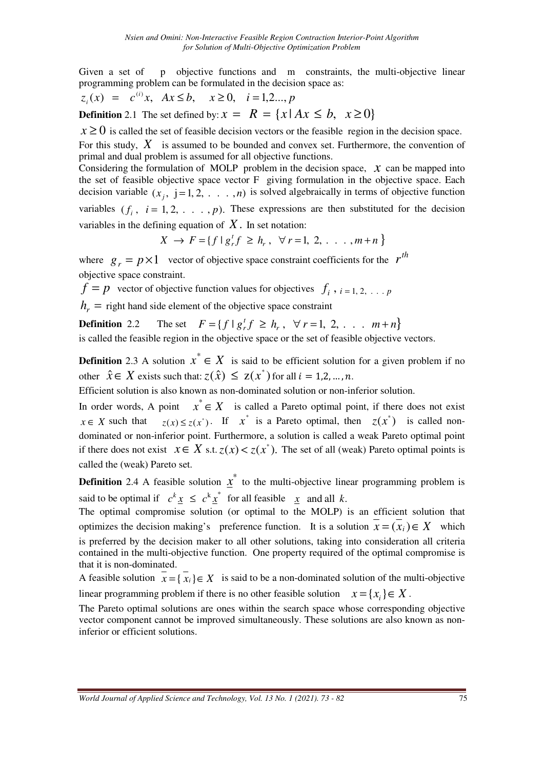Given a set of p objective functions and m constraints, the multi-objective linear programming problem can be formulated in the decision space as:

$$
z_i(x) = c^{(i)}x
$$
,  $Ax \le b$ ,  $x \ge 0$ ,  $i = 1, 2, ..., p$ 

**Definition** 2.1 The set defined by:  $x = R = \{x | Ax \leq b, x \geq 0\}$ 

 $x \ge 0$  is called the set of feasible decision vectors or the feasible region in the decision space.

For this study,  $X$  is assumed to be bounded and convex set. Furthermore, the convention of primal and dual problem is assumed for all objective functions.

Considering the formulation of MOLP problem in the decision space,  $\chi$  can be mapped into the set of feasible objective space vector F giving formulation in the objective space. Each decision variable  $(x_j, j=1,2,\ldots,n)$  is solved algebraically in terms of objective function variables  $(f_i, i = 1, 2, \ldots, p)$ . These expressions are then substituted for the decision variables in the defining equation of *X*. In set notation:

 $X \to F = \{ f \mid g_r^t f \ge h_r, \forall r = 1, 2, \ldots, m + n \}$ 

where  $g_r = p \times 1$  vector of objective space constraint coefficients for the  $r^{th}$ objective space constraint.

 $f = p$  vector of objective function values for objectives  $f_i$ ,  $i = 1, 2, \ldots p$ 

 $h_r$  = right hand side element of the objective space constraint

**Definition** 2.2 The set  $F = \{f \mid g_r^t f \ge h_r, \forall r = 1, 2, \dots, m + n\}$ is called the feasible region in the objective space or the set of feasible objective vectors.

**Definition** 2.3 A solution  $x^* \in X$  is said to be efficient solution for a given problem if no other  $\hat{x} \in X$  exists such that:  $z(\hat{x}) \le z(x^*)$  for all  $i = 1, 2, ..., n$ .

Efficient solution is also known as non-dominated solution or non-inferior solution.

In order words, A point  $x^* \in X$  is called a Pareto optimal point, if there does not exist  $x \in X$  such that  $z(x) \le z(x^*)$ . If  $x^*$  is a Pareto optimal, then  $z(x^*)$  is called nondominated or non-inferior point. Furthermore, a solution is called a weak Pareto optimal point if there does not exist  $x \in X$  s.t.  $z(x) < z(x^*)$ . The set of all (weak) Pareto optimal points is called the (weak) Pareto set.

**Definition** 2.4 A feasible solution  $\underline{x}^*$  to the multi-objective linear programming problem is said to be optimal if  $c^k \underline{x} \leq c^k \underline{x}^*$  for all feasible  $\underline{x}$  and all *k*.

The optimal compromise solution (or optimal to the MOLP) is an efficient solution that optimizes the decision making's preference function. It is a solution  $x = (x_i) \in X$  which is preferred by the decision maker to all other solutions, taking into consideration all criteria contained in the multi-objective function. One property required of the optimal compromise is that it is non-dominated.

A feasible solution  $\overline{x} = \{\overline{x_i}\}\in X$  is said to be a non-dominated solution of the multi-objective linear programming problem if there is no other feasible solution  $x = \{x_i\} \in X$ .

The Pareto optimal solutions are ones within the search space whose corresponding objective vector component cannot be improved simultaneously. These solutions are also known as noninferior or efficient solutions.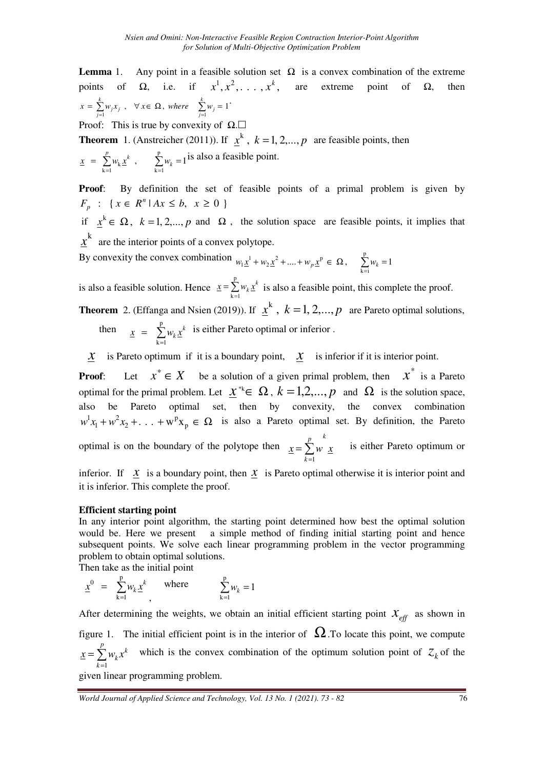**Lemma** 1. Any point in a feasible solution set  $\Omega$  is a convex combination of the extreme points of Ω, i.e. if  $x^1, x^2, ..., x^k$ , are extreme point of Ω, then  $=\sum_{j=1}^{n} w_j x_j$ ,  $\forall x \in \Omega$ , where  $\sum_{j=1}^{n} w_j = 1$ *k j j k*  $x = \sum_{j=1}^{k} w_j x_j$ ,  $\forall x \in \Omega$ , where  $\sum_{j=1}^{k} w_j = 1$ .

Proof: This is true by convexity of  $\Omega$ .

**Theorem** 1. (Anstreicher (2011)). If  $\mathbf{x}^k$ ,  $k = 1, 2, \dots, p$  are feasible points, then

$$
\underline{x} = \sum_{k=1}^{p} w_k \underline{x}^k , \qquad \sum_{k=1}^{p} w_k = 1
$$
 is also a feasible point.

**Proof:** By definition the set of feasible points of a primal problem is given by  $F_p$  : {  $x \in R^n | Ax \leq b, x \geq 0$ } *p*

if  $x^k \in \Omega$ ,  $k = 1, 2,..., p$  and  $\Omega$ , the solution space are feasible points, it implies that  $x<sup>k</sup>$  are the interior points of a convex polytope.

By convexity the convex combination  $w_1 \underline{x}^1 + w_2 \underline{x}^2 + ... + w_p \underline{x}^p \in \Omega$ ,  $\sum_{k=1}^p w_k$  $+w_2 \underline{x}^2 + ... + w_n \underline{x}^p \in \Omega$ ,  $\sum_{k=1}^{p} w_k =$  $k = i$  $w_1 \underline{x}^1 + w_2 \underline{x}^2 + \dots + w_p \underline{x}^p \in \Omega$ ,  $\sum_{k=1}^{n} w_k = 1$ 

is also a feasible solution. Hence  $\mathbf{x} = \sum_{k=1}^{n}$  $=\sum_{i=1}^{p}$  $k = 1$  $x = \sum w_k x^k$  is also a feasible point, this complete the proof.

**Theorem** 2. (Effanga and Nsien (2019)). If  $\chi^k$ ,  $k = 1, 2, ..., p$  are Pareto optimal solutions,

then 
$$
\underline{x} = \sum_{k=1}^{p} w_k \underline{x}^k
$$
 is either Pareto optimal or inferior.

 $X$  is Pareto optimum if it is a boundary point,  $X$  is inferior if it is interior point.

**Proof:** Let  $x^* \in X$  be a solution of a given primal problem, then  $x^*$  is a Pareto optimal for the primal problem. Let  $\underline{x}^* \in \Omega$ ,  $k = 1, 2, ..., p$  and  $\Omega$  is the solution space, also be Pareto optimal set, then by convexity, the convex combination  $+ w<sup>2</sup> x<sub>2</sub> + ... + w<sup>p</sup> x<sub>p</sub> \in \Omega$ 1  $w^{1}x_{1} + w^{2}x_{2} + ... + w^{p}x_{p} \in \Omega$  is also a Pareto optimal set. By definition, the Pareto optimal is on the boundary of the polytope then  $x = \sum w \cdot x$ *k p k*  $\sum$ =  $=\sum_{m=1}^{\infty} w x$  is either Pareto optimum or 1

inferior. If  $x$  is a boundary point, then  $x$  is Pareto optimal otherwise it is interior point and it is inferior. This complete the proof.

### **Efficient starting point**

In any interior point algorithm, the starting point determined how best the optimal solution would be. Here we present a simple method of finding initial starting point and hence subsequent points. We solve each linear programming problem in the vector programming problem to obtain optimal solutions.

Then take as the initial point

$$
\underline{x}^0 = \sum_{k=1}^p w_k \underline{x}^k, \quad \text{where} \quad \sum_{k=1}^p w_k = 1
$$

After determining the weights, we obtain an initial efficient starting point  $\mathcal{X}_{\text{eff}}$  as shown in figure 1. The initial efficient point is in the interior of  $\Omega$ . To locate this point, we compute  $=$  $\sum$ = *p k k*  $x = \sum_{k=1}^{p} w_k x^k$  which is the convex combination of the optimum solution point of  $z_k$  of the 1

given linear programming problem.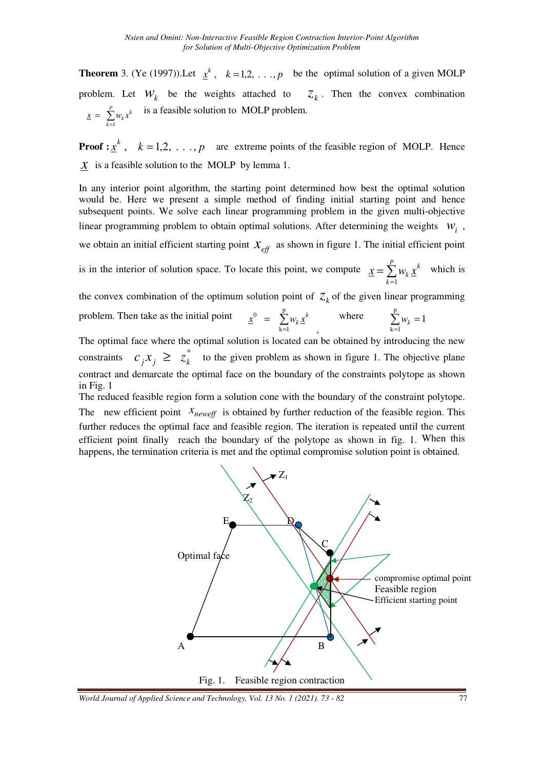**Theorem** 3. (Ye (1997)). Let  $x^k$ ,  $k = 1, 2, ..., p$  be the optimal solution of a given MOLP problem. Let  $W_k$  be the weights attached to  $Z_k$ . Then the convex combination  $\sum_{k=1}^{p} w_k x^k$  $\underline{x} = \sum_{k=1}^{6} w_k x_k$ = 1 is a feasible solution to MOLP problem.

**Proof :**  $\underline{x}^k$ ,  $k = 1, 2, ..., p$  are extreme points of the feasible region of MOLP. Hence  *is a feasible solution to the MOLP by lemma 1.* 

In any interior point algorithm, the starting point determined how best the optimal solution would be. Here we present a simple method of finding initial starting point and hence subsequent points. We solve each linear programming problem in the given multi-objective linear programming problem to obtain optimal solutions. After determining the weights  $W_i$ , we obtain an initial efficient starting point  $x_{\text{eff}}$  as shown in figure 1. The initial efficient point

is in the interior of solution space. To locate this point, we compute  $\underline{x} = \sum$ =  $=$  $\sum_{n=1}^{p}$ *k k*  $\underline{x} = \sum w_k \underline{x}$ 1 which is

the convex combination of the optimum solution point of  $Z_k$  of the given linear programming

problem. Then take as the initial point =  $=$   $\sum_{i=1}^{p}$  $k = 1$  $\hat{x}^0 = \sum_{k=1}^{N} w_k \hat{x}^k$  $x^0$  =  $\sum w_k x_k$  , where  $\sum_{i=1}^{p}$ =  $\sum_{k=1}^{p} w_k =$  $\sum_{k=1} w_k = 1$ 

The optimal face where the optimal solution is located can be obtained by introducing the new constraints  $c_j x_j \geq z_k^*$  to the given problem as shown in figure 1. The objective plane contract and demarcate the optimal face on the boundary of the constraints polytope as shown in Fig. 1

The reduced feasible region form a solution cone with the boundary of the constraint polytope. The new efficient point  $x_{neweff}$  is obtained by further reduction of the feasible region. This further reduces the optimal face and feasible region. The iteration is repeated until the current efficient point finally reach the boundary of the polytope as shown in fig. 1. When this happens, the termination criteria is met and the optimal compromise solution point is obtained.

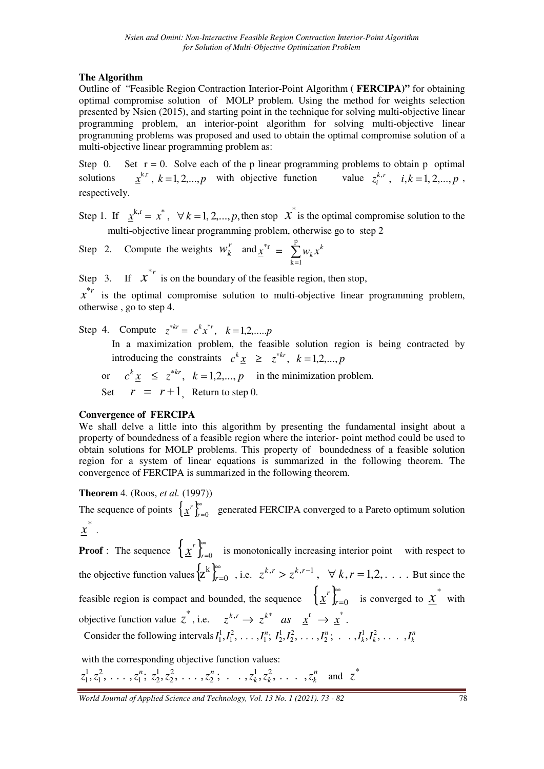## **The Algorithm**

Outline of "Feasible Region Contraction Interior-Point Algorithm **( FERCIPA)"** for obtaining optimal compromise solution of MOLP problem. Using the method for weights selection presented by Nsien (2015), and starting point in the technique for solving multi-objective linear programming problem, an interior-point algorithm for solving multi-objective linear programming problems was proposed and used to obtain the optimal compromise solution of a multi-objective linear programming problem as:

Step 0. Set  $r = 0$ . Solve each of the p linear programming problems to obtain p optimal solutions  $x^{k,r}$ ,  $k = 1, 2,...,p$  with objective function value  $z_i^{k,r}$ ,  $i, k = 1, 2,...,p$  $i, k, r$ ,  $i, k = 1, 2, ..., p$ , respectively.

Step 1. If  $\chi^{k,r} = x^*$ ,  $\forall k = 1, 2, ..., p$ , then stop  $\chi^*$  is the optimal compromise solution to the multi-objective linear programming problem, otherwise go to step 2

Step 2. Compute the weights  $W_k^r$  and  $\chi^{*r} = \sum_{r=1}^{p}$ = = p  $k = 1$  $\sum_{k=1}^{k} x_k^k$  $\underline{x}^{\text{H}} = \sum w_k x_k$ 

Step 3. If  $x^{*r}$  is on the boundary of the feasible region, then stop,

 $x^*$  is the optimal compromise solution to multi-objective linear programming problem, otherwise , go to step 4.

Step 4. Compute  $z^{*kr} = c^k x^{*r}, k = 1, 2, ..., p$ 

In a maximization problem, the feasible solution region is being contracted by introducing the constraints  $c^k \underline{x} \geq z^{*kr}$ ,  $k = 1, 2, ..., p$ 

or  $c^k \underline{x} \leq z^{*kr}$ ,  $k = 1, 2, ..., p$  in the minimization problem. Set  $r = r + 1$  Return to step 0.

### **Convergence of FERCIPA**

We shall delve a little into this algorithm by presenting the fundamental insight about a property of boundedness of a feasible region where the interior- point method could be used to obtain solutions for MOLP problems. This property of boundedness of a feasible solution region for a system of linear equations is summarized in the following theorem. The convergence of FERCIPA is summarized in the following theorem.

## **Theorem** 4. (Roos, *et al.* (1997))

The sequence of points  $\{x^r\}_{r=1}^{\infty}$ *r* =0  $\bf{x}^r$   $\int_{r=0}^{\infty}$  generated FERCIPA converged to a Pareto optimum solution  $x^*$  .

**Proof** : The sequence  $\left\{ \underline{x}^r \right\}_{r=1}^{\infty}$ *r*=0  $\chi'$   $\int_{r=0}^{\infty}$  is monotonically increasing interior point with respect to the objective function values  $\{z^k\}_{k=1}^{\infty}$ *r*=0  $z^{k}$ <sub>r<sup>n</sup></sub></sup> , i.e.  $z^{k,r} > z^{k,r-1}$ ,  $\forall k, r = 1, 2, \dots$  But since the feasible region is compact and bounded, the sequence  $\left\{ \underline{x}^r \right\}_{r=1}^{\infty}$ *r*=0  $\left\{\frac{x}{n}\right\}_{n=0}^{\infty}$  is converged to  $\underline{x}^*$  with objective function value  $z^*$ , i.e.  $z^{k,r} \to z^{k*}$  *as*  $x^r \to x^*$ . Consider the following intervals  $I_1^1, I_1^2, \ldots, I_1^n; I_2^1, I_2^2, \ldots, I_2^n; \ldots, I_k^1, I_k^2, \ldots, I_k^n$  $k, k, \ldots, k$  $I_1^1, I_1^2, \ldots, I_1^n; I_2^1, I_2^2, \ldots, I_2^n; \ldots, I_k^1, I_k^2, \ldots, I_k^n$ 2 2 2 1  $_1$ ,  $_2$ 2 1 1  $I_1^1, I_1^2, \ldots, I_1^n; I_2^1, I_2^2, \ldots, I_2^n;$ 

with the corresponding objective function values:

 $\ldots$ ,  $z_1^n$ ;  $z_2^1$ ,  $z_2^2$ ,  $\ldots$ ,  $z_2^n$ ;  $\ldots$ ,  $z_k^1$ ,  $z_k^2$ ,  $\ldots$ ,  $z_k^n$  $k$ ,  $\lambda_k$ ,  $\cdots$ ,  $\lambda_k$  $z_1^1, z_1^2, \ldots, z_1^n; z_2^1, z_2^2, \ldots, z_2^n; \ldots, z_k^1, z_k^2, \ldots, z_k^n$ 2 2 2 1  $, 1, 4, 2$ 2 1 1  $z_1^1, z_1^2, \ldots, z_1^n; z_2^1, z_2^2, \ldots, z_2^n; \ldots, z_k^1, z_k^2, \ldots, z_k^n$  and  $z^*$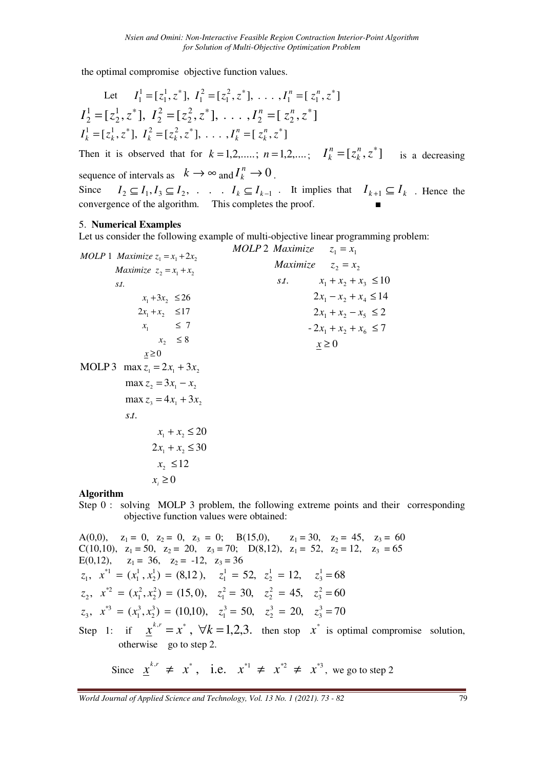the optimal compromise objective function values.

Let 
$$
I_1^1 = [z_1^1, z^*], I_1^2 = [z_1^2, z^*], \dots, I_1^n = [z_1^n, z^*]
$$
  
\n $I_2^1 = [z_2^1, z^*], I_2^2 = [z_2^2, z^*], \dots, I_2^n = [z_2^n, z^*]$   
\n $I_k^1 = [z_k^1, z^*], I_k^2 = [z_k^2, z^*], \dots, I_k^n = [z_k^n, z^*]$   
\nThen it is observed that for  $k = 1, 2, \dots; n = 1, 2, \dots; I_k^n = [z_k^n, z^*]$  is a decrease

*k*  $\binom{n}{k}$  =  $[z_k^n, z^*]$  is a decreasing sequence of intervals as  $k \to \infty$  and  $I_k^n \to 0$  $I_k^n \to 0$ . Since  $I_2 \subseteq I_1, I_3 \subseteq I_2, \ldots$  *I<sub>k</sub>*  $\subseteq I_{k-1}$  *I*t implies that  $I_{k+1} \subseteq I_k$  . Hence the convergence of the algorithm. This completes the proof.

#### 5. **Numerical Examples**

Let us consider the following example of multi-objective linear programming problem:

*MOLP* 1 *Maximize* 
$$
z_1 = x_1 + 2x_2
$$

\n*Maximize*  $z_2 = x_1 + x_2$ 

\n*Maximize*  $z_2 = x_2$ 

\n*st.*  $x_1 + x_2 + x_3 \le 10$ 

\n*2x\_1 + x\_2 \le 17*

\n*x\_1 \le 7*

\n*x\_2 \le 8*

\n*x \ge 0*

\n*MOLP* 2  $x_1 + x_2 + x_3 \le 10$ 

\n*2x\_1 + x\_2 + x\_3 \le 14*

\n*2x\_1 + x\_2 - x\_5 \le 2*

\n*x\_1 \le 7*

\n*x\_2 \le 8*

\n*x \ge 0*

\n*MOLP* 3  $\max z_1 = 2x_1 + 3x_2$ 

\n*max*  $z_2 = 3x_1 - x_2$ 

\n*max*  $z_3 = 4x_1 + 3x_2$ 

\n*s.t.*  $x_1 + x_2 \le 20$ 

\n*2x\_1 + x\_2 \le 30*

\n*x\_2 \le 12*

\n*x\_i \ge 0*

\n*Algorithm*

Step 0 : solving MOLP 3 problem, the following extreme points and their corresponding objective function values were obtained:

A(0,0), 
$$
z_1 = 0
$$
,  $z_2 = 0$ ,  $z_3 = 0$ ; B(15,0),  $z_1 = 30$ ,  $z_2 = 45$ ,  $z_3 = 60$   
\nC(10,10),  $z_1 = 50$ ,  $z_2 = 20$ ,  $z_3 = 70$ ; D(8,12),  $z_1 = 52$ ,  $z_2 = 12$ ,  $z_3 = 65$   
\nE(0,12),  $z_1 = 36$ ,  $z_2 = -12$ ,  $z_3 = 36$   
\n $z_1$ ,  $x^* = (x_1^1, x_2^1) = (8,12)$ ,  $z_1^1 = 52$ ,  $z_2^1 = 12$ ,  $z_3^1 = 68$   
\n $z_2$ ,  $x^{*2} = (x_1^2, x_2^2) = (15, 0)$ ,  $z_1^2 = 30$ ,  $z_2^2 = 45$ ,  $z_3^2 = 60$   
\n $z_3$ ,  $x^{*3} = (x_1^3, x_2^3) = (10,10)$ ,  $z_1^3 = 50$ ,  $z_2^3 = 20$ ,  $z_3^3 = 70$   
\nStep 1: if  $\underline{x}^{k,r} = x^*$ ,  $\forall k = 1,2,3$ , then stop  $x^*$  is optimal compromise solution, otherwise go to step 2.

Since  $\chi^{k,r} \neq x^*$ , i.e.  $x^{*1} \neq x^{*2} \neq x^{*3}$ , we go to step 2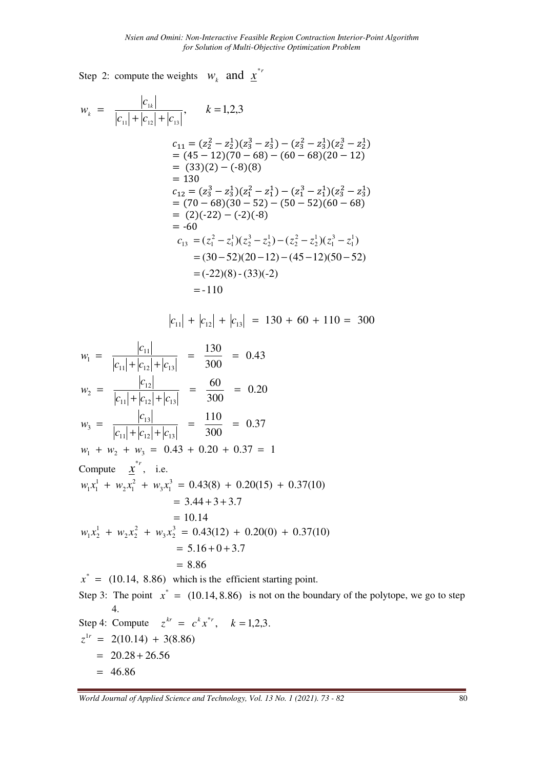Step 2: compute the weights  $W_k$  and  $\underline{x}^{*}$ 

$$
w_k = \frac{|c_{1k}|}{|c_{11}| + |c_{12}| + |c_{13}|}, \qquad k = 1,2,3
$$
  
\n
$$
c_{11} = (z_2^2 - z_2^1)(z_3^3 - z_3^1) - (z_3^2 - z_3^1)(z_2^3 - z_2^1)
$$
  
\n
$$
= (45 - 12)(70 - 68) - (60 - 68)(20 - 12)
$$
  
\n
$$
= (33)(2) - (-8)(8)
$$
  
\n
$$
= 130
$$
  
\n
$$
c_{12} = (z_3^3 - z_3^1)(z_1^2 - z_1^1) - (z_1^3 - z_1^1)(z_3^2 - z_3^1)
$$
  
\n
$$
= (70 - 68)(30 - 52) - (50 - 52)(60 - 68)
$$
  
\n
$$
= (2)(-22) - (-2)(-8)
$$
  
\n
$$
= -60
$$
  
\n
$$
c_{13} = (z_1^2 - z_1^1)(z_2^3 - z_2^1) - (z_2^2 - z_2^1)(z_1^3 - z_1^1)
$$
  
\n
$$
= (30 - 52)(20 - 12) - (45 - 12)(50 - 52)
$$
  
\n
$$
= (-22)(8) - (33)(-2)
$$
  
\n
$$
= -110
$$

$$
|c_{11}| + |c_{12}| + |c_{13}| = 130 + 60 + 110 = 300
$$

$$
w_1 = \frac{|c_{11}|}{|c_{11}| + |c_{12}| + |c_{13}|} = \frac{130}{300} = 0.43
$$
  
\n
$$
w_2 = \frac{|c_{12}|}{|c_{11}| + |c_{12}| + |c_{13}|} = \frac{60}{300} = 0.20
$$
  
\n
$$
w_3 = \frac{|c_{13}|}{|c_{11}| + |c_{12}| + |c_{13}|} = \frac{110}{300} = 0.37
$$
  
\n
$$
w_1 + w_2 + w_3 = 0.43 + 0.20 + 0.37 = 1
$$
  
\nCompute  $\frac{x^*}{2}$ , i.e.  
\n
$$
w_1x_1^1 + w_2x_1^2 + w_3x_1^3 = 0.43(8) + 0.20(15) + 0.37(10)
$$
  
\n
$$
= 3.44 + 3 + 3.7
$$
  
\n
$$
= 10.14
$$
  
\n
$$
w_1x_2^1 + w_2x_2^2 + w_3x_2^3 = 0.43(12) + 0.20(0) + 0.37(10)
$$
  
\n
$$
= 5.16 + 0 + 3.7
$$
  
\n
$$
= 8.86
$$
  
\n
$$
x^* = (10.14, 8.86)
$$
 which is the efficient starting point.  
\nStep 3: The point  $x^* = (10.14, 8.86)$  is not on the boundary of the polytope, we go to step 4.

Step 4: Compute 
$$
z^{kr} = c^k x^{*r}
$$
,  $k = 1,2,3$ .  
\n $z^{1r} = 2(10.14) + 3(8.86)$   
\n $= 20.28 + 26.56$   
\n $= 46.86$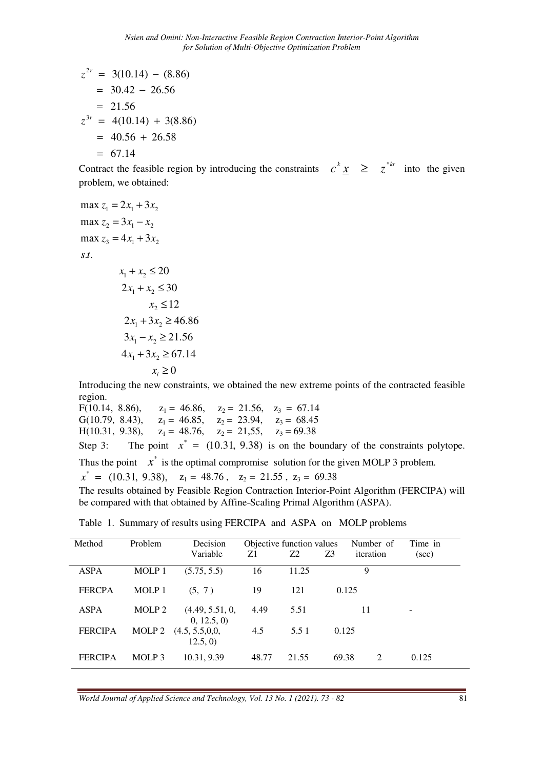$$
z^{2r} = 3(10.14) - (8.86)
$$
  
= 30.42 - 26.56  
= 21.56  

$$
z^{3r} = 4(10.14) + 3(8.86)
$$
  
= 40.56 + 26.58  
= 67.14

Contract the feasible region by introducing the constraints  $c^k \underline{x} \geq z^{*kr}$  into the given problem, we obtained:

$$
\max z_1 = 2x_1 + 3x_2
$$
  
\n
$$
\max z_2 = 3x_1 - x_2
$$
  
\n
$$
\max z_3 = 4x_1 + 3x_2
$$
  
\n
$$
s.t.
$$
  
\n
$$
x_1 + x_2 \le 20
$$
  
\n
$$
2x_1 + x_2 \le 30
$$
  
\n
$$
x_2 \le 12
$$

$$
x_2 \le 12
$$
  
\n
$$
2x_1 + 3x_2 \ge 46.86
$$
  
\n
$$
3x_1 - x_2 \ge 21.56
$$
  
\n
$$
4x_1 + 3x_2 \ge 67.14
$$
  
\n
$$
x_i \ge 0
$$

Introducing the new constraints, we obtained the new extreme points of the contracted feasible region.

F(10.14, 8.86),  $z_1 = 46.86$ ,  $z_2 = 21.56$ ,  $z_3 = 67.14$ <br>G(10.79, 8.43),  $z_1 = 46.85$ ,  $z_2 = 23.94$ ,  $z_3 = 68.45$  $z_1 = 46.85$ ,  $z_2 = 23.94$ ,  $z_3 = 68.45$ H(10.31, 9.38),  $z_1 = 48.76$ ,  $z_2 = 21.55$ ,  $z_3 = 69.38$ Step 3: The point  $x^* = (10.31, 9.38)$  is on the boundary of the constraints polytope.

Thus the point  $x^*$  is the optimal compromise solution for the given MOLP 3 problem.

 $x^* = (10.31, 9.38), \quad z_1 = 48.76, \quad z_2 = 21.55, \quad z_3 = 69.38$ 

The results obtained by Feasible Region Contraction Interior-Point Algorithm (FERCIPA) will be compared with that obtained by Affine-Scaling Primal Algorithm (ASPA).

| Method         | Problem           | Decision                       | Objective function values |           |       | Number of      | Time in |
|----------------|-------------------|--------------------------------|---------------------------|-----------|-------|----------------|---------|
|                |                   | Variable                       | Z1                        | <b>Z2</b> | Z3    | iteration      | (sec)   |
| <b>ASPA</b>    | MOLP 1            | (5.75, 5.5)                    | 16                        | 11.25     |       | 9              |         |
| <b>FERCPA</b>  | MOLP 1            | (5, 7)                         | 19                        | 121       |       | 0.125          |         |
| ASPA           | MOLP <sub>2</sub> | (4.49, 5.51, 0,<br>0, 12.5, 0) | 4.49                      | 5.51      |       | 11             |         |
| <b>FERCIPA</b> | MOLP <sub>2</sub> | (4.5, 5.5, 0.0,<br>12.5, 0)    | 4.5                       | 5.5 1     | 0.125 |                |         |
| <b>FERCIPA</b> | MOLP 3            | 10.31, 9.39                    | 48.77                     | 21.55     | 69.38 | $\mathfrak{D}$ | 0.125   |

Table 1. Summary of results using FERCIPA and ASPA on MOLP problems